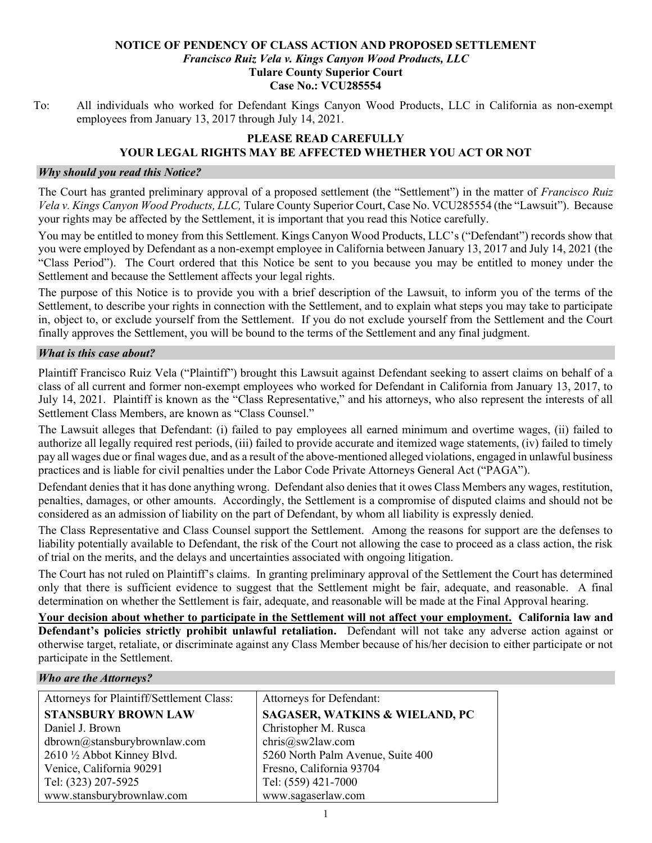#### NOTICE OF PENDENCY OF CLASS ACTION AND PROPOSED SETTLEMENT Francisco Ruiz Vela v. Kings Canyon Wood Products, LLC Tulare County Superior Court Case No.: VCU285554

To: All individuals who worked for Defendant Kings Canyon Wood Products, LLC in California as non-exempt employees from January 13, 2017 through July 14, 2021.

# PLEASE READ CAREFULLY YOUR LEGAL RIGHTS MAY BE AFFECTED WHETHER YOU ACT OR NOT

#### Why should you read this Notice?

The Court has granted preliminary approval of a proposed settlement (the "Settlement") in the matter of *Francisco Ruiz* Vela v. Kings Canyon Wood Products, LLC, Tulare County Superior Court, Case No. VCU285554 (the "Lawsuit"). Because your rights may be affected by the Settlement, it is important that you read this Notice carefully.

You may be entitled to money from this Settlement. Kings Canyon Wood Products, LLC's ("Defendant") records show that you were employed by Defendant as a non-exempt employee in California between January 13, 2017 and July 14, 2021 (the "Class Period"). The Court ordered that this Notice be sent to you because you may be entitled to money under the Settlement and because the Settlement affects your legal rights.

The purpose of this Notice is to provide you with a brief description of the Lawsuit, to inform you of the terms of the Settlement, to describe your rights in connection with the Settlement, and to explain what steps you may take to participate in, object to, or exclude yourself from the Settlement. If you do not exclude yourself from the Settlement and the Court finally approves the Settlement, you will be bound to the terms of the Settlement and any final judgment.

### What is this case about?

Plaintiff Francisco Ruiz Vela ("Plaintiff") brought this Lawsuit against Defendant seeking to assert claims on behalf of a class of all current and former non-exempt employees who worked for Defendant in California from January 13, 2017, to July 14, 2021. Plaintiff is known as the "Class Representative," and his attorneys, who also represent the interests of all Settlement Class Members, are known as "Class Counsel."

The Lawsuit alleges that Defendant: (i) failed to pay employees all earned minimum and overtime wages, (ii) failed to authorize all legally required rest periods, (iii) failed to provide accurate and itemized wage statements, (iv) failed to timely pay all wages due or final wages due, and as a result of the above-mentioned alleged violations, engaged in unlawful business practices and is liable for civil penalties under the Labor Code Private Attorneys General Act ("PAGA").

Defendant denies that it has done anything wrong. Defendant also denies that it owes Class Members any wages, restitution, penalties, damages, or other amounts. Accordingly, the Settlement is a compromise of disputed claims and should not be considered as an admission of liability on the part of Defendant, by whom all liability is expressly denied.

The Class Representative and Class Counsel support the Settlement. Among the reasons for support are the defenses to liability potentially available to Defendant, the risk of the Court not allowing the case to proceed as a class action, the risk of trial on the merits, and the delays and uncertainties associated with ongoing litigation.

The Court has not ruled on Plaintiff's claims. In granting preliminary approval of the Settlement the Court has determined only that there is sufficient evidence to suggest that the Settlement might be fair, adequate, and reasonable. A final determination on whether the Settlement is fair, adequate, and reasonable will be made at the Final Approval hearing.

Your decision about whether to participate in the Settlement will not affect your employment. California law and Defendant's policies strictly prohibit unlawful retaliation. Defendant will not take any adverse action against or otherwise target, retaliate, or discriminate against any Class Member because of his/her decision to either participate or not participate in the Settlement.

#### Who are the Attorneys?

| Attorneys for Plaintiff/Settlement Class: | Attorneys for Defendant:                  |
|-------------------------------------------|-------------------------------------------|
| <b>STANSBURY BROWN LAW</b>                | <b>SAGASER, WATKINS &amp; WIELAND, PC</b> |
| Daniel J. Brown                           | Christopher M. Rusca                      |
| dbrown@stansburybrownlaw.com              | chris@sw2law.com                          |
| 2610 1/2 Abbot Kinney Blvd.               | 5260 North Palm Avenue, Suite 400         |
| Venice, California 90291                  | Fresno, California 93704                  |
| Tel: (323) 207-5925                       | Tel: (559) 421-7000                       |
| www.stansburybrownlaw.com                 | www.sagaserlaw.com                        |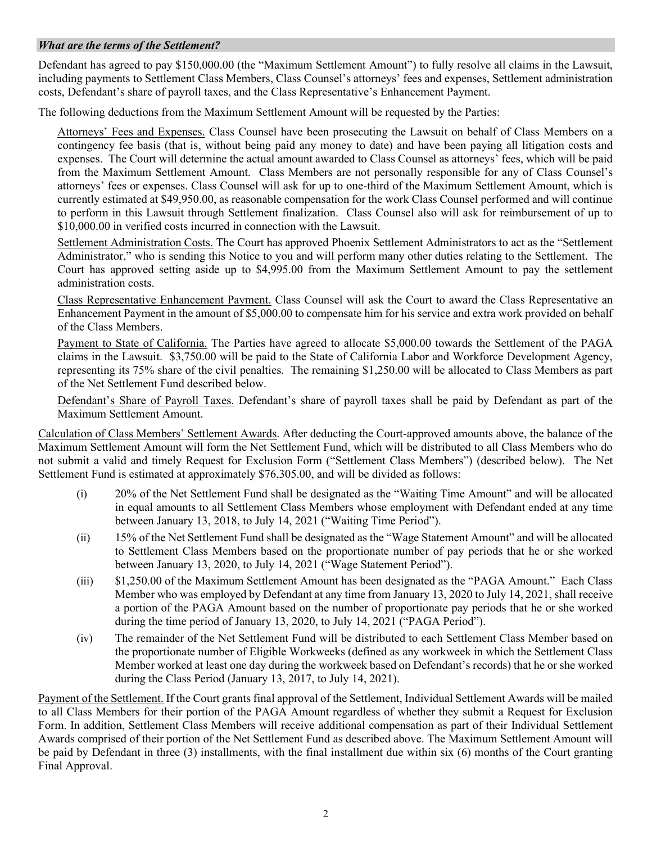### What are the terms of the Settlement?

Defendant has agreed to pay \$150,000.00 (the "Maximum Settlement Amount") to fully resolve all claims in the Lawsuit, including payments to Settlement Class Members, Class Counsel's attorneys' fees and expenses, Settlement administration costs, Defendant's share of payroll taxes, and the Class Representative's Enhancement Payment.

The following deductions from the Maximum Settlement Amount will be requested by the Parties:

Attorneys' Fees and Expenses. Class Counsel have been prosecuting the Lawsuit on behalf of Class Members on a contingency fee basis (that is, without being paid any money to date) and have been paying all litigation costs and expenses. The Court will determine the actual amount awarded to Class Counsel as attorneys' fees, which will be paid from the Maximum Settlement Amount. Class Members are not personally responsible for any of Class Counsel's attorneys' fees or expenses. Class Counsel will ask for up to one-third of the Maximum Settlement Amount, which is currently estimated at \$49,950.00, as reasonable compensation for the work Class Counsel performed and will continue to perform in this Lawsuit through Settlement finalization. Class Counsel also will ask for reimbursement of up to \$10,000.00 in verified costs incurred in connection with the Lawsuit.

Settlement Administration Costs. The Court has approved Phoenix Settlement Administrators to act as the "Settlement Administrator," who is sending this Notice to you and will perform many other duties relating to the Settlement. The Court has approved setting aside up to \$4,995.00 from the Maximum Settlement Amount to pay the settlement administration costs.

Class Representative Enhancement Payment. Class Counsel will ask the Court to award the Class Representative an Enhancement Payment in the amount of \$5,000.00 to compensate him for his service and extra work provided on behalf of the Class Members.

Payment to State of California. The Parties have agreed to allocate \$5,000.00 towards the Settlement of the PAGA claims in the Lawsuit. \$3,750.00 will be paid to the State of California Labor and Workforce Development Agency, representing its 75% share of the civil penalties. The remaining \$1,250.00 will be allocated to Class Members as part of the Net Settlement Fund described below.

Defendant's Share of Payroll Taxes. Defendant's share of payroll taxes shall be paid by Defendant as part of the Maximum Settlement Amount.

Calculation of Class Members' Settlement Awards. After deducting the Court-approved amounts above, the balance of the Maximum Settlement Amount will form the Net Settlement Fund, which will be distributed to all Class Members who do not submit a valid and timely Request for Exclusion Form ("Settlement Class Members") (described below). The Net Settlement Fund is estimated at approximately \$76,305.00, and will be divided as follows:

- (i) 20% of the Net Settlement Fund shall be designated as the "Waiting Time Amount" and will be allocated in equal amounts to all Settlement Class Members whose employment with Defendant ended at any time between January 13, 2018, to July 14, 2021 ("Waiting Time Period").
- (ii) 15% of the Net Settlement Fund shall be designated as the "Wage Statement Amount" and will be allocated to Settlement Class Members based on the proportionate number of pay periods that he or she worked between January 13, 2020, to July 14, 2021 ("Wage Statement Period").
- (iii) \$1,250.00 of the Maximum Settlement Amount has been designated as the "PAGA Amount." Each Class Member who was employed by Defendant at any time from January 13, 2020 to July 14, 2021, shall receive a portion of the PAGA Amount based on the number of proportionate pay periods that he or she worked during the time period of January 13, 2020, to July 14, 2021 ("PAGA Period").
- (iv) The remainder of the Net Settlement Fund will be distributed to each Settlement Class Member based on the proportionate number of Eligible Workweeks (defined as any workweek in which the Settlement Class Member worked at least one day during the workweek based on Defendant's records) that he or she worked during the Class Period (January 13, 2017, to July 14, 2021).

Payment of the Settlement. If the Court grants final approval of the Settlement, Individual Settlement Awards will be mailed to all Class Members for their portion of the PAGA Amount regardless of whether they submit a Request for Exclusion Form. In addition, Settlement Class Members will receive additional compensation as part of their Individual Settlement Awards comprised of their portion of the Net Settlement Fund as described above. The Maximum Settlement Amount will be paid by Defendant in three (3) installments, with the final installment due within six (6) months of the Court granting Final Approval.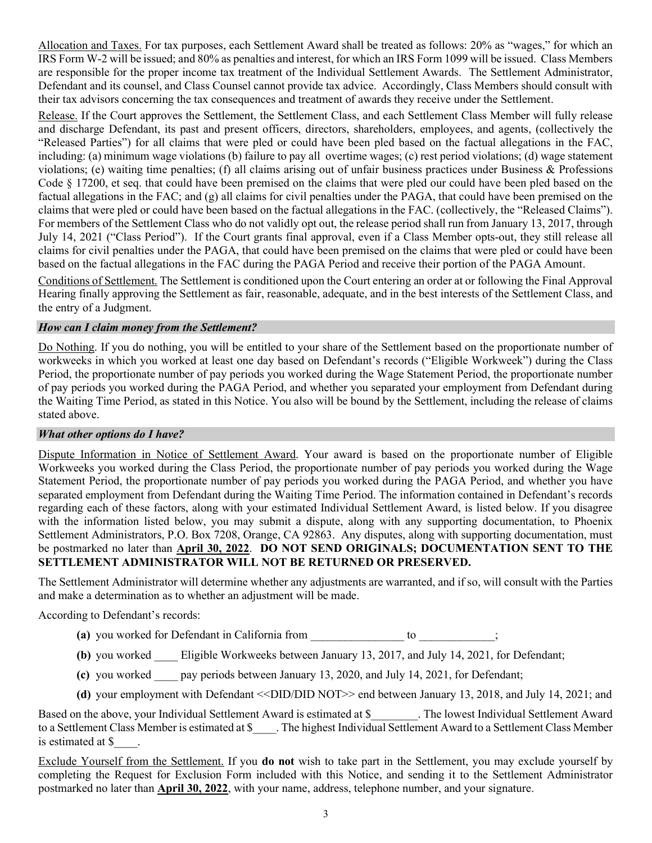Allocation and Taxes. For tax purposes, each Settlement Award shall be treated as follows: 20% as "wages," for which an IRS Form W-2 will be issued; and 80% as penalties and interest, for which an IRS Form 1099 will be issued. Class Members are responsible for the proper income tax treatment of the Individual Settlement Awards. The Settlement Administrator, Defendant and its counsel, and Class Counsel cannot provide tax advice. Accordingly, Class Members should consult with their tax advisors concerning the tax consequences and treatment of awards they receive under the Settlement.

Release. If the Court approves the Settlement, the Settlement Class, and each Settlement Class Member will fully release and discharge Defendant, its past and present officers, directors, shareholders, employees, and agents, (collectively the "Released Parties") for all claims that were pled or could have been pled based on the factual allegations in the FAC, including: (a) minimum wage violations (b) failure to pay all overtime wages; (c) rest period violations; (d) wage statement violations; (e) waiting time penalties; (f) all claims arising out of unfair business practices under Business & Professions Code § 17200, et seq. that could have been premised on the claims that were pled our could have been pled based on the factual allegations in the FAC; and (g) all claims for civil penalties under the PAGA, that could have been premised on the claims that were pled or could have been based on the factual allegations in the FAC. (collectively, the "Released Claims"). For members of the Settlement Class who do not validly opt out, the release period shall run from January 13, 2017, through July 14, 2021 ("Class Period"). If the Court grants final approval, even if a Class Member opts-out, they still release all claims for civil penalties under the PAGA, that could have been premised on the claims that were pled or could have been based on the factual allegations in the FAC during the PAGA Period and receive their portion of the PAGA Amount.

Conditions of Settlement. The Settlement is conditioned upon the Court entering an order at or following the Final Approval Hearing finally approving the Settlement as fair, reasonable, adequate, and in the best interests of the Settlement Class, and the entry of a Judgment.

### How can I claim money from the Settlement?

Do Nothing. If you do nothing, you will be entitled to your share of the Settlement based on the proportionate number of workweeks in which you worked at least one day based on Defendant's records ("Eligible Workweek") during the Class Period, the proportionate number of pay periods you worked during the Wage Statement Period, the proportionate number of pay periods you worked during the PAGA Period, and whether you separated your employment from Defendant during the Waiting Time Period, as stated in this Notice. You also will be bound by the Settlement, including the release of claims stated above.

### What other options do I have?

Dispute Information in Notice of Settlement Award. Your award is based on the proportionate number of Eligible Workweeks you worked during the Class Period, the proportionate number of pay periods you worked during the Wage Statement Period, the proportionate number of pay periods you worked during the PAGA Period, and whether you have separated employment from Defendant during the Waiting Time Period. The information contained in Defendant's records regarding each of these factors, along with your estimated Individual Settlement Award, is listed below. If you disagree with the information listed below, you may submit a dispute, along with any supporting documentation, to Phoenix Settlement Administrators, P.O. Box 7208, Orange, CA 92863. Any disputes, along with supporting documentation, must be postmarked no later than April 30, 2022. DO NOT SEND ORIGINALS; DOCUMENTATION SENT TO THE SETTLEMENT ADMINISTRATOR WILL NOT BE RETURNED OR PRESERVED.

The Settlement Administrator will determine whether any adjustments are warranted, and if so, will consult with the Parties and make a determination as to whether an adjustment will be made.

According to Defendant's records:

- (a) you worked for Defendant in California from to to  $\hspace{1.5cm}$ ;
- (b) you worked Eligible Workweeks between January 13, 2017, and July 14, 2021, for Defendant;
- (c) you worked \_\_\_\_ pay periods between January 13, 2020, and July 14, 2021, for Defendant;
- (d) your employment with Defendant << DID/DID NOT >> end between January 13, 2018, and July 14, 2021; and

Based on the above, your Individual Settlement Award is estimated at \$ \_\_\_\_\_\_. The lowest Individual Settlement Award to a Settlement Class Member is estimated at \$ \_\_\_\_. The highest Individual Settlement Award to a Settlement Class Member is estimated at \$\_\_\_\_.

Exclude Yourself from the Settlement. If you do not wish to take part in the Settlement, you may exclude yourself by completing the Request for Exclusion Form included with this Notice, and sending it to the Settlement Administrator postmarked no later than **April 30, 2022**, with your name, address, telephone number, and your signature.